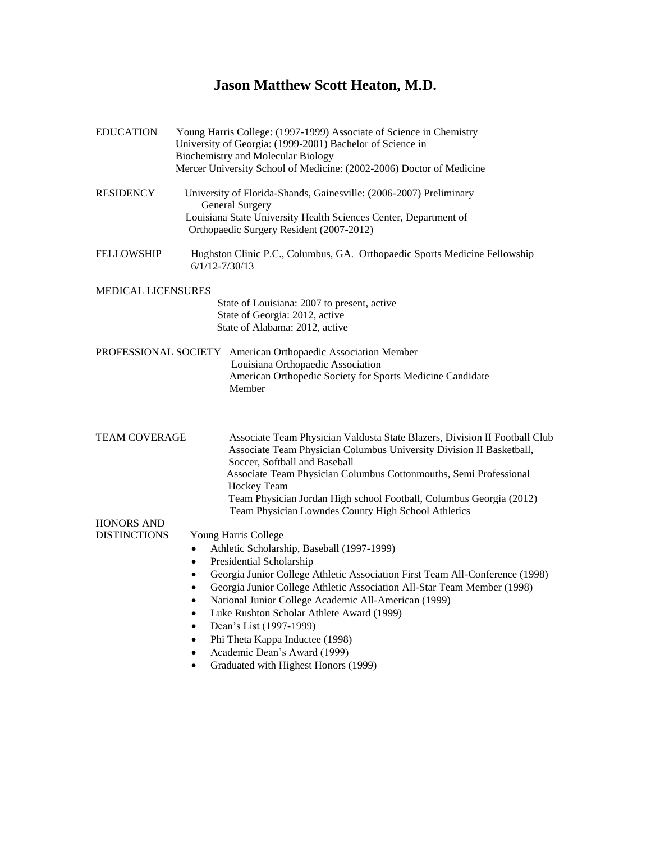# **Jason Matthew Scott Heaton, M.D.**

| <b>EDUCATION</b>                         | Young Harris College: (1997-1999) Associate of Science in Chemistry<br>University of Georgia: (1999-2001) Bachelor of Science in<br><b>Biochemistry and Molecular Biology</b><br>Mercer University School of Medicine: (2002-2006) Doctor of Medicine                                                                                                                                                                                                                                                                                                                                                                          |
|------------------------------------------|--------------------------------------------------------------------------------------------------------------------------------------------------------------------------------------------------------------------------------------------------------------------------------------------------------------------------------------------------------------------------------------------------------------------------------------------------------------------------------------------------------------------------------------------------------------------------------------------------------------------------------|
| <b>RESIDENCY</b>                         | University of Florida-Shands, Gainesville: (2006-2007) Preliminary<br><b>General Surgery</b><br>Louisiana State University Health Sciences Center, Department of<br>Orthopaedic Surgery Resident (2007-2012)                                                                                                                                                                                                                                                                                                                                                                                                                   |
| <b>FELLOWSHIP</b>                        | Hughston Clinic P.C., Columbus, GA. Orthopaedic Sports Medicine Fellowship<br>$6/1/12 - 7/30/13$                                                                                                                                                                                                                                                                                                                                                                                                                                                                                                                               |
| MEDICAL LICENSURES                       | State of Louisiana: 2007 to present, active<br>State of Georgia: 2012, active<br>State of Alabama: 2012, active                                                                                                                                                                                                                                                                                                                                                                                                                                                                                                                |
|                                          | PROFESSIONAL SOCIETY American Orthopaedic Association Member<br>Louisiana Orthopaedic Association<br>American Orthopedic Society for Sports Medicine Candidate<br>Member                                                                                                                                                                                                                                                                                                                                                                                                                                                       |
| <b>TEAM COVERAGE</b>                     | Associate Team Physician Valdosta State Blazers, Division II Football Club<br>Associate Team Physician Columbus University Division II Basketball,<br>Soccer, Softball and Baseball<br>Associate Team Physician Columbus Cottonmouths, Semi Professional<br>Hockey Team<br>Team Physician Jordan High school Football, Columbus Georgia (2012)<br>Team Physician Lowndes County High School Athletics                                                                                                                                                                                                                          |
| <b>HONORS AND</b><br><b>DISTINCTIONS</b> | Young Harris College<br>Athletic Scholarship, Baseball (1997-1999)<br>$\bullet$<br>Presidential Scholarship<br>٠<br>Georgia Junior College Athletic Association First Team All-Conference (1998)<br>$\bullet$<br>Georgia Junior College Athletic Association All-Star Team Member (1998)<br>$\bullet$<br>National Junior College Academic All-American (1999)<br>$\bullet$<br>Luke Rushton Scholar Athlete Award (1999)<br>$\bullet$<br>Dean's List (1997-1999)<br>$\bullet$<br>Phi Theta Kappa Inductee (1998)<br>$\bullet$<br>Academic Dean's Award (1999)<br>$\bullet$<br>Graduated with Highest Honors (1999)<br>$\bullet$ |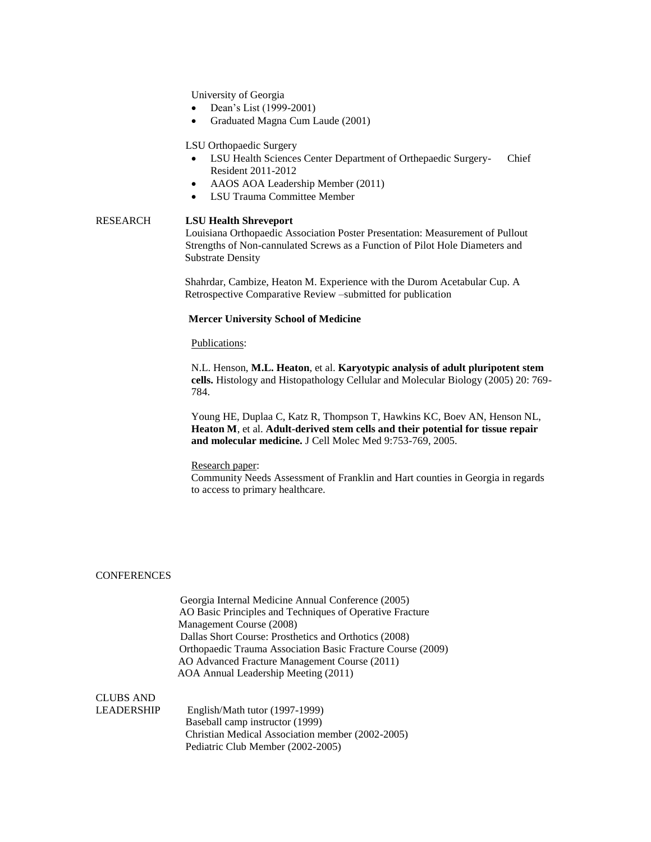University of Georgia

- Dean's List (1999-2001)
- Graduated Magna Cum Laude (2001)

LSU Orthopaedic Surgery

- LSU Health Sciences Center Department of Orthepaedic Surgery- Chief Resident 2011-2012
- AAOS AOA Leadership Member (2011)
- LSU Trauma Committee Member

RESEARCH **LSU Health Shreveport** Louisiana Orthopaedic Association Poster Presentation: Measurement of Pullout Strengths of Non-cannulated Screws as a Function of Pilot Hole Diameters and Substrate Density

> Shahrdar, Cambize, Heaton M. Experience with the Durom Acetabular Cup. A Retrospective Comparative Review –submitted for publication

# **Mercer University School of Medicine**

### Publications:

N.L. Henson, **M.L. Heaton**, et al. **Karyotypic analysis of adult pluripotent stem cells.** Histology and Histopathology Cellular and Molecular Biology (2005) 20: 769- 784.

Young HE, Duplaa C, Katz R, Thompson T, Hawkins KC, Boev AN, Henson NL, **Heaton M**, et al. **Adult-derived stem cells and their potential for tissue repair and molecular medicine.** J Cell Molec Med 9:753-769, 2005.

#### Research paper:

Community Needs Assessment of Franklin and Hart counties in Georgia in regards to access to primary healthcare.

## **CONFERENCES**

 Georgia Internal Medicine Annual Conference (2005) AO Basic Principles and Techniques of Operative Fracture Management Course (2008) Dallas Short Course: Prosthetics and Orthotics (2008) Orthopaedic Trauma Association Basic Fracture Course (2009) AO Advanced Fracture Management Course (2011) AOA Annual Leadership Meeting (2011)

# CLUBS AND

LEADERSHIP English/Math tutor (1997-1999) Baseball camp instructor (1999) Christian Medical Association member (2002-2005) Pediatric Club Member (2002-2005)